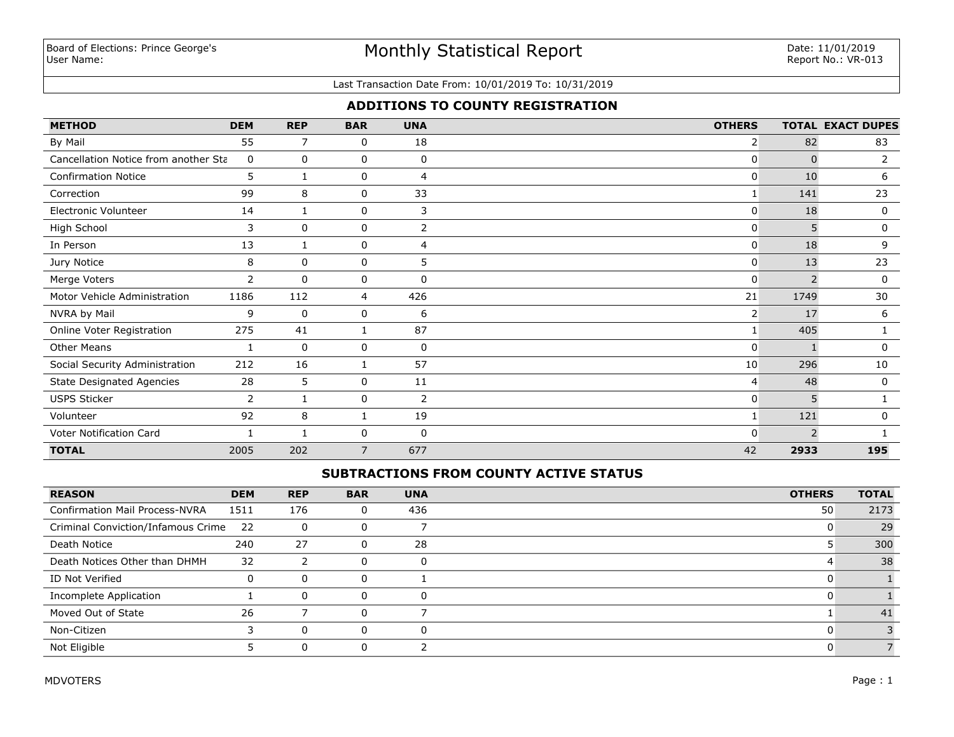# Monthly Statistical Report

#### Last Transaction Date From: 10/01/2019 To: 10/31/2019

# **ADDITIONS TO COUNTY REGISTRATION**

| <b>METHOD</b>                        | <b>DEM</b> | <b>REP</b>   | <b>BAR</b>     | <b>UNA</b>  | <b>OTHERS</b>  |                          | <b>TOTAL EXACT DUPES</b> |
|--------------------------------------|------------|--------------|----------------|-------------|----------------|--------------------------|--------------------------|
| By Mail                              | 55         | 7            | 0              | 18          | $\overline{2}$ | 82                       | 83                       |
| Cancellation Notice from another Sta | 0          | 0            | 0              | 0           | 0              | $\Omega$                 | $\overline{2}$           |
| <b>Confirmation Notice</b>           | 5          |              | 0              | 4           | 0              | 10                       | 6                        |
| Correction                           | 99         | 8            | 0              | 33          |                | 141                      | 23                       |
| <b>Electronic Volunteer</b>          | 14         | -1           | 0              | 3           | 0              | 18                       | 0                        |
| High School                          | 3          | $\mathbf{0}$ | 0              | 2           | 0              | 5                        | 0                        |
| In Person                            | 13         | 1            | $\mathbf 0$    | 4           | 0              | 18                       | 9                        |
| Jury Notice                          | 8          | 0            | 0              | 5           | $\mathbf{0}$   | 13                       | 23                       |
| Merge Voters                         | 2          | 0            | 0              | 0           | 0              | 2                        | 0                        |
| Motor Vehicle Administration         | 1186       | 112          | 4              | 426         | 21             | 1749                     | 30                       |
| NVRA by Mail                         | 9          | $\mathbf 0$  | $\mathbf 0$    | 6           | 2              | 17                       | 6                        |
| Online Voter Registration            | 275        | 41           | 1              | 87          |                | 405                      |                          |
| <b>Other Means</b>                   | 1          | 0            | $\mathbf 0$    | $\mathbf 0$ | 0              |                          | 0                        |
| Social Security Administration       | 212        | 16           | 1              | 57          | 10             | 296                      | 10                       |
| <b>State Designated Agencies</b>     | 28         | 5            | 0              | 11          | 4              | 48                       | 0                        |
| <b>USPS Sticker</b>                  | 2          |              | 0              | 2           | 0              | 5                        |                          |
| Volunteer                            | 92         | 8            | 1              | 19          |                | 121                      | 0                        |
| Voter Notification Card              |            |              | $\mathbf 0$    | $\mathbf 0$ | O              | $\overline{\phantom{0}}$ |                          |
| <b>TOTAL</b>                         | 2005       | 202          | $\overline{7}$ | 677         | 42             | 2933                     | 195                      |

## **SUBTRACTIONS FROM COUNTY ACTIVE STATUS**

| <b>REASON</b>                         | <b>DEM</b> | <b>REP</b> | <b>BAR</b> | <b>UNA</b> | <b>OTHERS</b> | <b>TOTAL</b> |
|---------------------------------------|------------|------------|------------|------------|---------------|--------------|
| <b>Confirmation Mail Process-NVRA</b> | 1511       | 176        | 0          | 436        | 50            | 2173         |
| Criminal Conviction/Infamous Crime 22 |            | $\Omega$   |            |            |               | 29           |
| Death Notice                          | 240        | 27         | 0          | 28         |               | 300          |
| Death Notices Other than DHMH         | 32         |            | O          | 0          |               | 38           |
| ID Not Verified                       |            |            |            |            |               |              |
| Incomplete Application                |            |            |            |            |               |              |
| Moved Out of State                    | 26         |            |            |            |               | 41           |
| Non-Citizen                           |            | $\Omega$   |            | -0         |               |              |
| Not Eligible                          |            |            |            |            |               |              |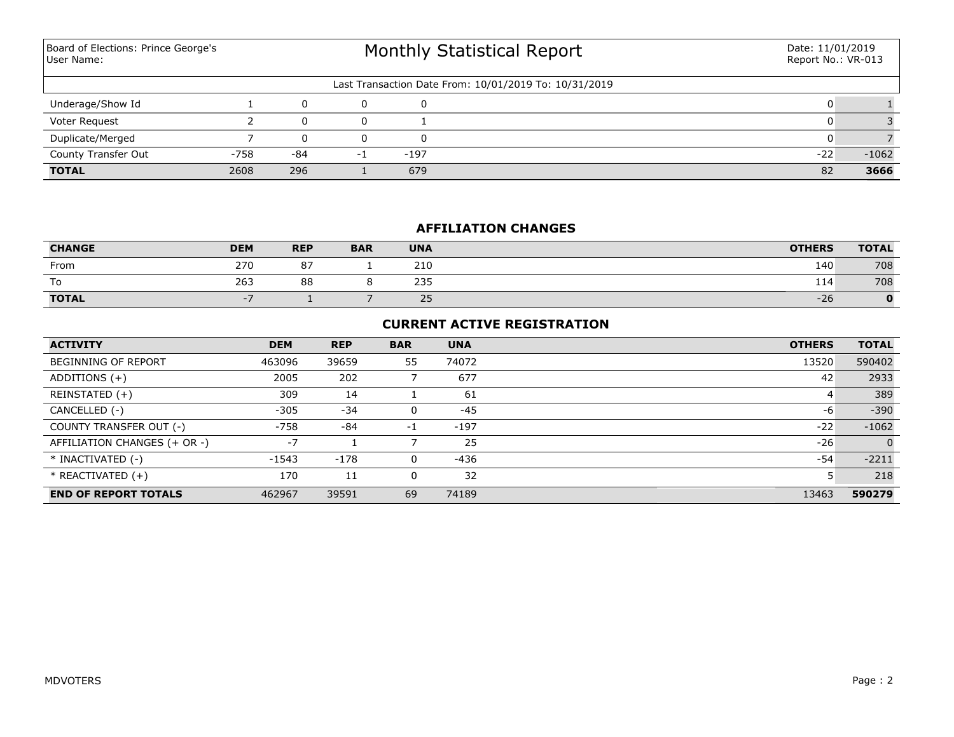Monthly Statistical Report Last Transaction Date From: 10/01/2019 To: 10/31/2019 Board of Elections: Prince George's User Name: Date: 11/01/2019 Report No.: VR-013 Underage/Show Id  $1$  0 0 0 0  $1$ Voter Request 2 0 0 1 0 3 **TOTAL** 2608 296 1 679 82 **3666** County Transfer Out -758 -84 -1 -197 -22 -1062 Duplicate/Merged 7 0 0 0 0 0 7

## **AFFILIATION CHANGES**

| <b>CHANGE</b> | <b>DEM</b> | <b>REP</b> | <b>BAR</b> | <b>UNA</b> | <b>OTHERS</b> | <b>TOTAL</b> |
|---------------|------------|------------|------------|------------|---------------|--------------|
| From          | 270        | 07<br>О.   |            | 210        | 140           | 708          |
| To            | 263        | 88         |            | 235        | 114           | 708          |
| <b>TOTAL</b>  |            |            |            | 25         | $-26$         |              |

#### **CURRENT ACTIVE REGISTRATION**

| <b>ACTIVITY</b>              | <b>DEM</b> | <b>REP</b> | <b>BAR</b> | <b>UNA</b> | <b>OTHERS</b> | <b>TOTAL</b>   |
|------------------------------|------------|------------|------------|------------|---------------|----------------|
| <b>BEGINNING OF REPORT</b>   | 463096     | 39659      | 55         | 74072      | 13520         | 590402         |
| ADDITIONS $(+)$              | 2005       | 202        |            | 677        | 42            | 2933           |
| REINSTATED (+)               | 309        | 14         |            | 61         | 4             | 389            |
| CANCELLED (-)                | $-305$     | $-34$      |            | $-45$      | -6            | $-390$         |
| COUNTY TRANSFER OUT (-)      | $-758$     | $-84$      | -1         | $-197$     | $-22$         | $-1062$        |
| AFFILIATION CHANGES (+ OR -) | $-7$       |            |            | 25         | $-26$         | $\overline{0}$ |
| * INACTIVATED (-)            | $-1543$    | $-178$     | 0          | -436       | -54           | $-2211$        |
| $*$ REACTIVATED $(+)$        | 170        | 11         |            | 32         |               | 218            |
| <b>END OF REPORT TOTALS</b>  | 462967     | 39591      | 69         | 74189      | 13463         | 590279         |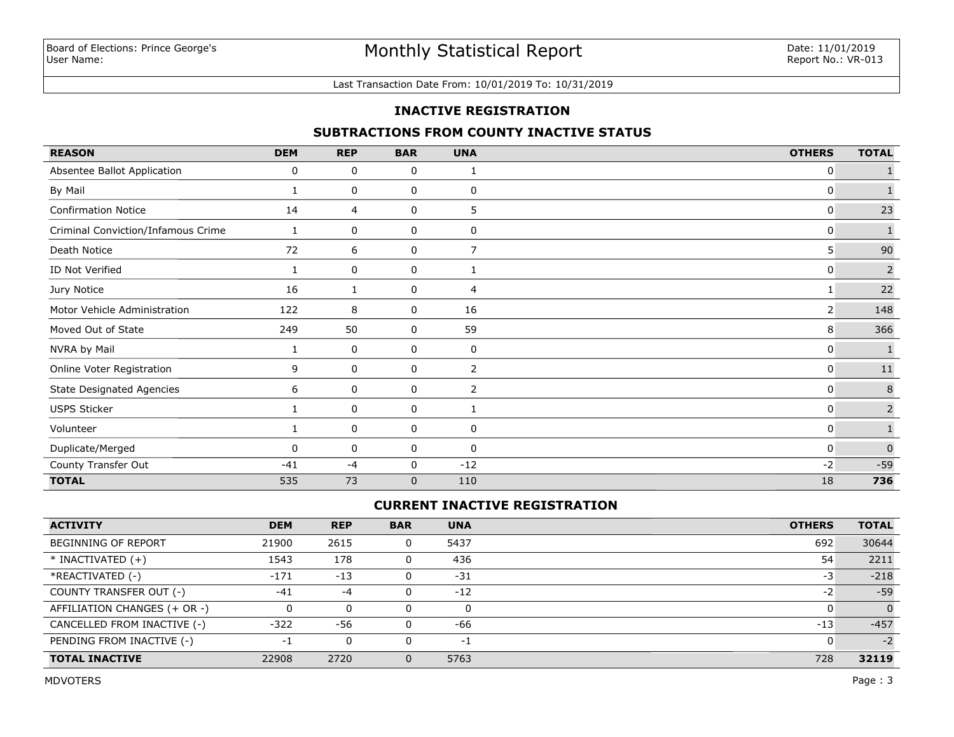#### Last Transaction Date From: 10/01/2019 To: 10/31/2019

### **INACTIVE REGISTRATION**

## **SUBTRACTIONS FROM COUNTY INACTIVE STATUS**

| <b>REASON</b>                      | <b>DEM</b> | <b>REP</b> | <b>BAR</b>   | <b>UNA</b>     | <b>OTHERS</b> | <b>TOTAL</b>   |
|------------------------------------|------------|------------|--------------|----------------|---------------|----------------|
| Absentee Ballot Application        | 0          | 0          | 0            | 1              | 0             |                |
| By Mail                            | 1          | 0          | 0            | 0              | 0             | $\mathbf{1}$   |
| <b>Confirmation Notice</b>         | 14         | 4          | 0            | 5              | 0             | 23             |
| Criminal Conviction/Infamous Crime | 1          | 0          | 0            | 0              | 0             | $\mathbf{1}$   |
| Death Notice                       | 72         | 6          | 0            | $\overline{7}$ | 5             | 90             |
| ID Not Verified                    | 1          | 0          | 0            | 1              | 0             | $\overline{2}$ |
| Jury Notice                        | 16         |            | 0            | 4              |               | 22             |
| Motor Vehicle Administration       | 122        | 8          | 0            | 16             | 2             | 148            |
| Moved Out of State                 | 249        | 50         | 0            | 59             | 8             | 366            |
| NVRA by Mail                       | 1          | 0          | 0            | 0              | 0             | $\mathbf{1}$   |
| Online Voter Registration          | 9          | 0          | 0            | 2              | 0             | $11\,$         |
| <b>State Designated Agencies</b>   | 6          | 0          | 0            | 2              | $\Omega$      | $\,$ 8         |
| <b>USPS Sticker</b>                |            | 0          | 0            |                | 0             | $\overline{2}$ |
| Volunteer                          | 1          | 0          | 0            | 0              | 0             | $\mathbf 1$    |
| Duplicate/Merged                   | $\Omega$   | 0          | 0            | 0              | 0             | $\mathbf 0$    |
| County Transfer Out                | $-41$      | $-4$       | 0            | $-12$          | $-2$          | $-59$          |
| <b>TOTAL</b>                       | 535        | 73         | $\mathbf{0}$ | 110            | 18            | 736            |

# **CURRENT INACTIVE REGISTRATION**

| <b>ACTIVITY</b>              | <b>DEM</b> | <b>REP</b> | <b>BAR</b> | <b>UNA</b> | <b>OTHERS</b> | <b>TOTAL</b> |
|------------------------------|------------|------------|------------|------------|---------------|--------------|
| <b>BEGINNING OF REPORT</b>   | 21900      | 2615       |            | 5437       | 692           | 30644        |
| $*$ INACTIVATED $(+)$        | 1543       | 178        |            | 436        | 54            | 2211         |
| *REACTIVATED (-)             | $-171$     | $-13$      |            | $-31$      | -3            | $-218$       |
| COUNTY TRANSFER OUT (-)      | $-41$      | $-4$       |            | $-12$      | -2            | $-59$        |
| AFFILIATION CHANGES (+ OR -) |            | 0          |            | 0          |               | $\Omega$     |
| CANCELLED FROM INACTIVE (-)  | $-322$     | -56        |            | -66        | $-13$         | $-457$       |
| PENDING FROM INACTIVE (-)    | -1         | 0          |            | -1         |               | $-2$         |
| <b>TOTAL INACTIVE</b>        | 22908      | 2720       | $\Omega$   | 5763       | 728           | 32119        |